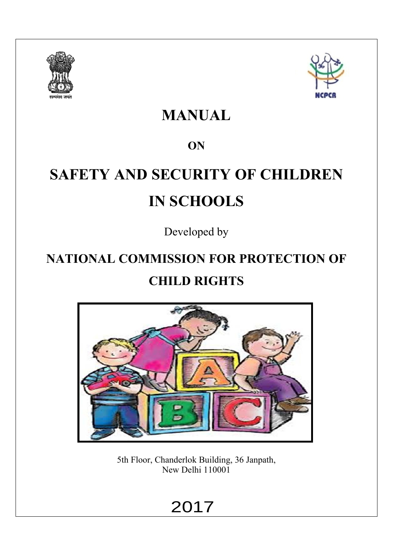



## **MANUAL**

## **ON**

# **SAFETY AND SECURITY OF CHILDREN IN SCHOOLS**

Developed by

# **NATIONAL COMMISSION FOR PROTECTION OF CHILD RIGHTS**



5th Floor, Chanderlok Building, 36 Janpath, New Delhi 110001

# 2017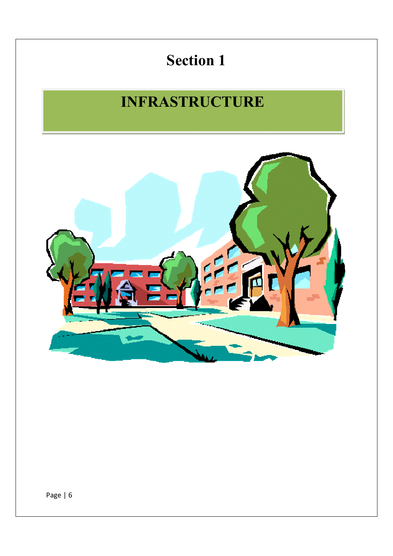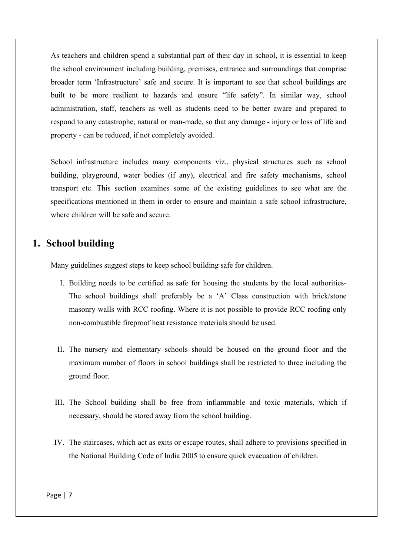As teachers and children spend a substantial part of their day in school, it is essential to keep the school environment including building, premises, entrance and surroundings that comprise broader term 'Infrastructure' safe and secure. It is important to see that school buildings are built to be more resilient to hazards and ensure "life safety". In similar way, school administration, staff, teachers as well as students need to be better aware and prepared to respond to any catastrophe, natural or man-made, so that any damage - injury or loss of life and property - can be reduced, if not completely avoided.

School infrastructure includes many components viz., physical structures such as school building, playground, water bodies (if any), electrical and fire safety mechanisms, school transport etc. This section examines some of the existing guidelines to see what are the specifications mentioned in them in order to ensure and maintain a safe school infrastructure, where children will be safe and secure.

#### **1. School building**

Many guidelines suggest steps to keep school building safe for children.

- I. Building needs to be certified as safe for housing the students by the local authorities-The school buildings shall preferably be a 'A' Class construction with brick/stone masonry walls with RCC roofing. Where it is not possible to provide RCC roofing only non-combustible fireproof heat resistance materials should be used.
- II. The nursery and elementary schools should be housed on the ground floor and the maximum number of floors in school buildings shall be restricted to three including the ground floor.
- III. The School building shall be free from inflammable and toxic materials, which if necessary, should be stored away from the school building.
- IV. The staircases, which act as exits or escape routes, shall adhere to provisions specified in the National Building Code of India 2005 to ensure quick evacuation of children.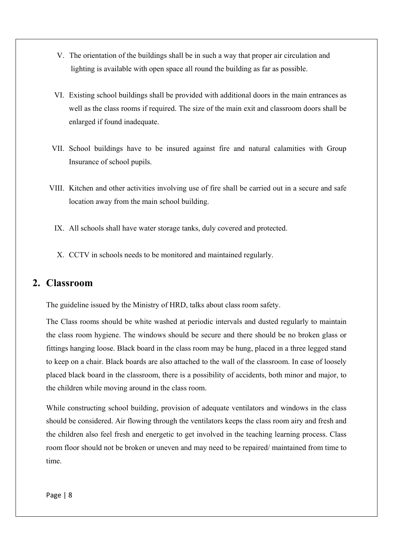- V. The orientation of the buildings shall be in such a way that proper air circulation and lighting is available with open space all round the building as far as possible.
- VI. Existing school buildings shall be provided with additional doors in the main entrances as well as the class rooms if required. The size of the main exit and classroom doors shall be enlarged if found inadequate.
- VII. School buildings have to be insured against fire and natural calamities with Group Insurance of school pupils.
- VIII. Kitchen and other activities involving use of fire shall be carried out in a secure and safe location away from the main school building.
	- IX. All schools shall have water storage tanks, duly covered and protected.
	- X. CCTV in schools needs to be monitored and maintained regularly.

#### **2. Classroom**

The guideline issued by the Ministry of HRD, talks about class room safety.

The Class rooms should be white washed at periodic intervals and dusted regularly to maintain the class room hygiene. The windows should be secure and there should be no broken glass or fittings hanging loose. Black board in the class room may be hung, placed in a three legged stand to keep on a chair. Black boards are also attached to the wall of the classroom. In case of loosely placed black board in the classroom, there is a possibility of accidents, both minor and major, to the children while moving around in the class room.

While constructing school building, provision of adequate ventilators and windows in the class should be considered. Air flowing through the ventilators keeps the class room airy and fresh and the children also feel fresh and energetic to get involved in the teaching learning process. Class room floor should not be broken or uneven and may need to be repaired/ maintained from time to time.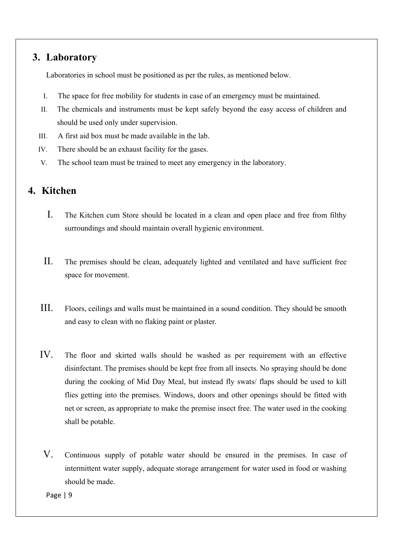## **3. Laboratory**

Laboratories in school must be positioned as per the rules, as mentioned below.

- I. The space for free mobility for students in case of an emergency must be maintained.
- II. The chemicals and instruments must be kept safely beyond the easy access of children and should be used only under supervision.
- III. A first aid box must be made available in the lab.
- IV. There should be an exhaust facility for the gases.
- V. The school team must be trained to meet any emergency in the laboratory.

#### **4. Kitchen**

- I. The Kitchen cum Store should be located in a clean and open place and free from filthy surroundings and should maintain overall hygienic environment.
- II. The premises should be clean, adequately lighted and ventilated and have sufficient free space for movement.
- III. Floors, ceilings and walls must be maintained in a sound condition. They should be smooth and easy to clean with no flaking paint or plaster.
- IV. The floor and skirted walls should be washed as per requirement with an effective disinfectant. The premises should be kept free from all insects. No spraying should be done during the cooking of Mid Day Meal, but instead fly swats/ flaps should be used to kill flies getting into the premises. Windows, doors and other openings should be fitted with net or screen, as appropriate to make the premise insect free. The water used in the cooking shall be potable.
	- V. Continuous supply of potable water should be ensured in the premises. In case of intermittent water supply, adequate storage arrangement for water used in food or washing should be made.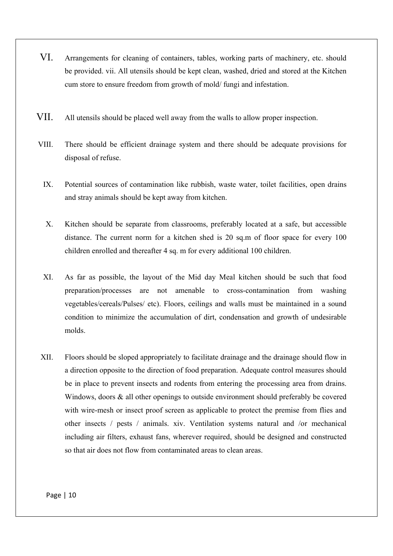- VI. Arrangements for cleaning of containers, tables, working parts of machinery, etc. should be provided. vii. All utensils should be kept clean, washed, dried and stored at the Kitchen cum store to ensure freedom from growth of mold/ fungi and infestation.
- VII. All utensils should be placed well away from the walls to allow proper inspection.
- VIII. There should be efficient drainage system and there should be adequate provisions for disposal of refuse.
	- IX. Potential sources of contamination like rubbish, waste water, toilet facilities, open drains and stray animals should be kept away from kitchen.
	- X. Kitchen should be separate from classrooms, preferably located at a safe, but accessible distance. The current norm for a kitchen shed is 20 sq.m of floor space for every 100 children enrolled and thereafter 4 sq. m for every additional 100 children.
	- XI. As far as possible, the layout of the Mid day Meal kitchen should be such that food preparation/processes are not amenable to cross-contamination from washing vegetables/cereals/Pulses/ etc). Floors, ceilings and walls must be maintained in a sound condition to minimize the accumulation of dirt, condensation and growth of undesirable molds.
- XII. Floors should be sloped appropriately to facilitate drainage and the drainage should flow in a direction opposite to the direction of food preparation. Adequate control measures should be in place to prevent insects and rodents from entering the processing area from drains. Windows, doors & all other openings to outside environment should preferably be covered with wire-mesh or insect proof screen as applicable to protect the premise from flies and other insects / pests / animals. xiv. Ventilation systems natural and /or mechanical including air filters, exhaust fans, wherever required, should be designed and constructed so that air does not flow from contaminated areas to clean areas.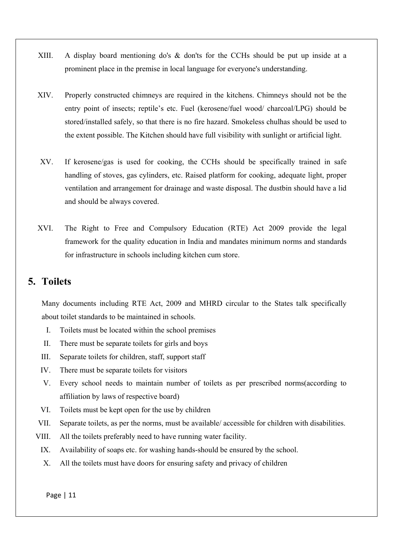- XIII. A display board mentioning do's & don'ts for the CCHs should be put up inside at a prominent place in the premise in local language for everyone's understanding.
- XIV. Properly constructed chimneys are required in the kitchens. Chimneys should not be the entry point of insects; reptile's etc. Fuel (kerosene/fuel wood/ charcoal/LPG) should be stored/installed safely, so that there is no fire hazard. Smokeless chulhas should be used to the extent possible. The Kitchen should have full visibility with sunlight or artificial light.
- XV. If kerosene/gas is used for cooking, the CCHs should be specifically trained in safe handling of stoves, gas cylinders, etc. Raised platform for cooking, adequate light, proper ventilation and arrangement for drainage and waste disposal. The dustbin should have a lid and should be always covered.
- XVI. The Right to Free and Compulsory Education (RTE) Act 2009 provide the legal framework for the quality education in India and mandates minimum norms and standards for infrastructure in schools including kitchen cum store.

## **5. Toilets**

Many documents including RTE Act, 2009 and MHRD circular to the States talk specifically about toilet standards to be maintained in schools.

- I. Toilets must be located within the school premises
- II. There must be separate toilets for girls and boys
- III. Separate toilets for children, staff, support staff
- IV. There must be separate toilets for visitors
- V. Every school needs to maintain number of toilets as per prescribed norms(according to affiliation by laws of respective board)
- VI. Toilets must be kept open for the use by children
- VII. Separate toilets, as per the norms, must be available/ accessible for children with disabilities.
- VIII. All the toilets preferably need to have running water facility.
- IX. Availability of soaps etc. for washing hands-should be ensured by the school.
- X. All the toilets must have doors for ensuring safety and privacy of children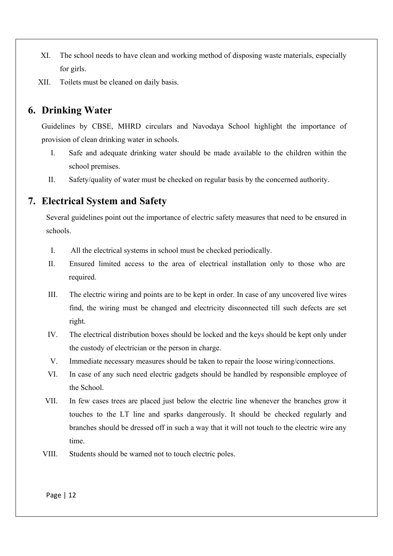- XI. The school needs to have clean and working method of disposing waste materials, especially for girls.
- XII. Toilets must be cleaned on daily basis.

#### **6. Drinking Water**

Guidelines by CBSE, MHRD circulars and Navodaya School highlight the importance of provision of clean drinking water in schools.

- I. Safe and adequate drinking water should be made available to the children within the school premises.
- II. Safety/quality of water must be checked on regular basis by the concerned authority.

## **7. Electrical System and Safety**

Several guidelines point out the importance of electric safety measures that need to be ensured in schools.

- I. All the electrical systems in school must be checked periodically.
- II. Ensured limited access to the area of electrical installation only to those who are required.
- III. The electric wiring and points are to be kept in order. In case of any uncovered live wires find, the wiring must be changed and electricity disconnected till such defects are set right.
- IV. The electrical distribution boxes should be locked and the keys should be kept only under the custody of electrician or the person in charge.
- V. Immediate necessary measures should be taken to repair the loose wiring/connections.
- VI. In case of any such need electric gadgets should be handled by responsible employee of the School.
- VII. In few cases trees are placed just below the electric line whenever the branches grow it touches to the LT line and sparks dangerously. It should be checked regularly and branches should be dressed off in such a way that it will not touch to the electric wire any time.
- VIII. Students should be warned not to touch electric poles.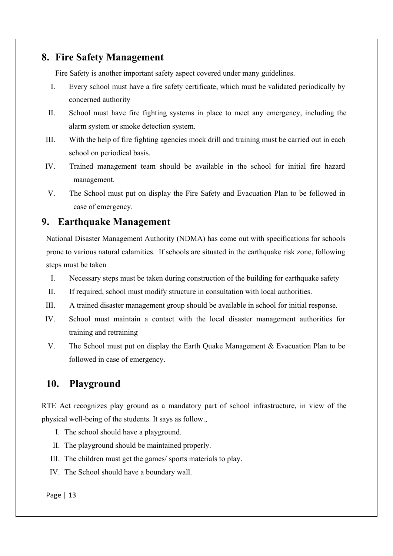## **8. Fire Safety Management**

Fire Safety is another important safety aspect covered under many guidelines.

- I. Every school must have a fire safety certificate, which must be validated periodically by concerned authority
- II. School must have fire fighting systems in place to meet any emergency, including the alarm system or smoke detection system.
- III. With the help of fire fighting agencies mock drill and training must be carried out in each school on periodical basis.
- IV. Trained management team should be available in the school for initial fire hazard management.
- V. The School must put on display the Fire Safety and Evacuation Plan to be followed in case of emergency.

#### **9. Earthquake Management**

National Disaster Management Authority (NDMA) has come out with specifications for schools prone to various natural calamities. If schools are situated in the earthquake risk zone, following steps must be taken

- I. Necessary steps must be taken during construction of the building for earthquake safety
- II. If required, school must modify structure in consultation with local authorities.
- III. A trained disaster management group should be available in school for initial response.
- IV. School must maintain a contact with the local disaster management authorities for training and retraining
- V. The School must put on display the Earth Quake Management & Evacuation Plan to be followed in case of emergency.

## **10. Playground**

RTE Act recognizes play ground as a mandatory part of school infrastructure, in view of the physical well-being of the students. It says as follow.,

- I. The school should have a playground.
- II. The playground should be maintained properly.
- III. The children must get the games/ sports materials to play.
- IV. The School should have a boundary wall.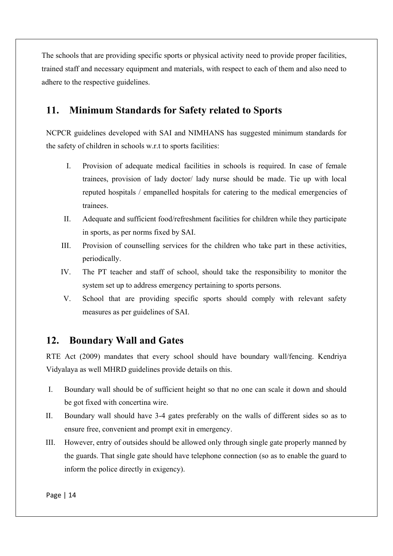The schools that are providing specific sports or physical activity need to provide proper facilities, trained staff and necessary equipment and materials, with respect to each of them and also need to adhere to the respective guidelines.

## **11. Minimum Standards for Safety related to Sports**

NCPCR guidelines developed with SAI and NIMHANS has suggested minimum standards for the safety of children in schools w.r.t to sports facilities:

- I. Provision of adequate medical facilities in schools is required. In case of female trainees, provision of lady doctor/ lady nurse should be made. Tie up with local reputed hospitals / empanelled hospitals for catering to the medical emergencies of trainees.
- II. Adequate and sufficient food/refreshment facilities for children while they participate in sports, as per norms fixed by SAI.
- III. Provision of counselling services for the children who take part in these activities, periodically.
- IV. The PT teacher and staff of school, should take the responsibility to monitor the system set up to address emergency pertaining to sports persons.
- V. School that are providing specific sports should comply with relevant safety measures as per guidelines of SAI.

## **12. Boundary Wall and Gates**

RTE Act (2009) mandates that every school should have boundary wall/fencing. Kendriya Vidyalaya as well MHRD guidelines provide details on this.

- I. Boundary wall should be of sufficient height so that no one can scale it down and should be got fixed with concertina wire.
- II. Boundary wall should have 3-4 gates preferably on the walls of different sides so as to ensure free, convenient and prompt exit in emergency.
- III. However, entry of outsides should be allowed only through single gate properly manned by the guards. That single gate should have telephone connection (so as to enable the guard to inform the police directly in exigency).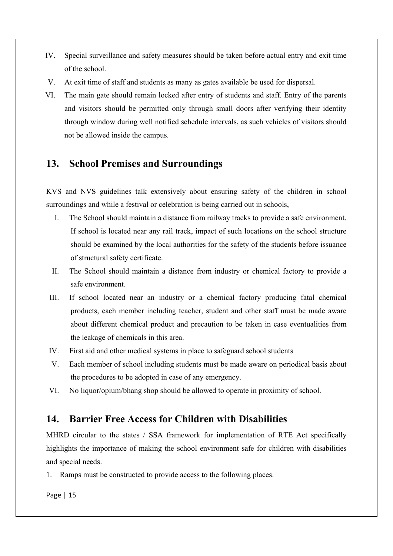- IV. Special surveillance and safety measures should be taken before actual entry and exit time of the school.
- V. At exit time of staff and students as many as gates available be used for dispersal.
- VI. The main gate should remain locked after entry of students and staff. Entry of the parents and visitors should be permitted only through small doors after verifying their identity through window during well notified schedule intervals, as such vehicles of visitors should not be allowed inside the campus.

#### **13. School Premises and Surroundings**

KVS and NVS guidelines talk extensively about ensuring safety of the children in school surroundings and while a festival or celebration is being carried out in schools,

- I. The School should maintain a distance from railway tracks to provide a safe environment. If school is located near any rail track, impact of such locations on the school structure should be examined by the local authorities for the safety of the students before issuance of structural safety certificate.
- II. The School should maintain a distance from industry or chemical factory to provide a safe environment.
- III. If school located near an industry or a chemical factory producing fatal chemical products, each member including teacher, student and other staff must be made aware about different chemical product and precaution to be taken in case eventualities from the leakage of chemicals in this area.
- IV. First aid and other medical systems in place to safeguard school students
- V. Each member of school including students must be made aware on periodical basis about the procedures to be adopted in case of any emergency.
- VI. No liquor/opium/bhang shop should be allowed to operate in proximity of school.

#### **14. Barrier Free Access for Children with Disabilities**

MHRD circular to the states / SSA framework for implementation of RTE Act specifically highlights the importance of making the school environment safe for children with disabilities and special needs.

1. Ramps must be constructed to provide access to the following places.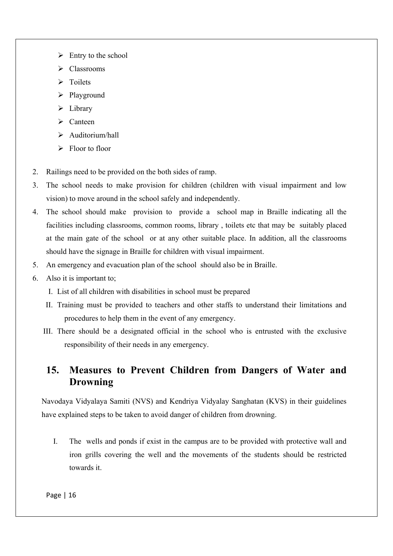- $\triangleright$  Entry to the school
- Classrooms
- $\triangleright$  Toilets
- $\triangleright$  Playground
- $\triangleright$  Library
- $\triangleright$  Canteen
- $\triangleright$  Auditorium/hall
- $\triangleright$  Floor to floor
- 2. Railings need to be provided on the both sides of ramp.
- 3. The school needs to make provision for children (children with visual impairment and low vision) to move around in the school safely and independently.
- 4. The school should make provision to provide a school map in Braille indicating all the facilities including classrooms, common rooms, library , toilets etc that may be suitably placed at the main gate of the school or at any other suitable place. In addition, all the classrooms should have the signage in Braille for children with visual impairment.
- 5. An emergency and evacuation plan of the school should also be in Braille.
- 6. Also it is important to;
	- I. List of all children with disabilities in school must be prepared
	- II. Training must be provided to teachers and other staffs to understand their limitations and procedures to help them in the event of any emergency.
	- III. There should be a designated official in the school who is entrusted with the exclusive responsibility of their needs in any emergency.

## **15. Measures to Prevent Children from Dangers of Water and Drowning**

Navodaya Vidyalaya Samiti (NVS) and Kendriya Vidyalay Sanghatan (KVS) in their guidelines have explained steps to be taken to avoid danger of children from drowning.

I. The wells and ponds if exist in the campus are to be provided with protective wall and iron grills covering the well and the movements of the students should be restricted towards it.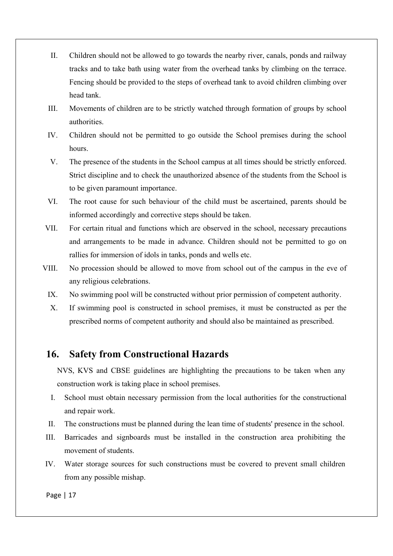- II. Children should not be allowed to go towards the nearby river, canals, ponds and railway tracks and to take bath using water from the overhead tanks by climbing on the terrace. Fencing should be provided to the steps of overhead tank to avoid children climbing over head tank.
- III. Movements of children are to be strictly watched through formation of groups by school authorities.
- IV. Children should not be permitted to go outside the School premises during the school hours.
- V. The presence of the students in the School campus at all times should be strictly enforced. Strict discipline and to check the unauthorized absence of the students from the School is to be given paramount importance.
- VI. The root cause for such behaviour of the child must be ascertained, parents should be informed accordingly and corrective steps should be taken.
- VII. For certain ritual and functions which are observed in the school, necessary precautions and arrangements to be made in advance. Children should not be permitted to go on rallies for immersion of idols in tanks, ponds and wells etc.
- VIII. No procession should be allowed to move from school out of the campus in the eve of any religious celebrations.
	- IX. No swimming pool will be constructed without prior permission of competent authority.
	- X. If swimming pool is constructed in school premises, it must be constructed as per the prescribed norms of competent authority and should also be maintained as prescribed.

## **16. Safety from Constructional Hazards**

NVS, KVS and CBSE guidelines are highlighting the precautions to be taken when any construction work is taking place in school premises.

- I. School must obtain necessary permission from the local authorities for the constructional and repair work.
- II. The constructions must be planned during the lean time of students' presence in the school.
- III. Barricades and signboards must be installed in the construction area prohibiting the movement of students.
- IV. Water storage sources for such constructions must be covered to prevent small children from any possible mishap.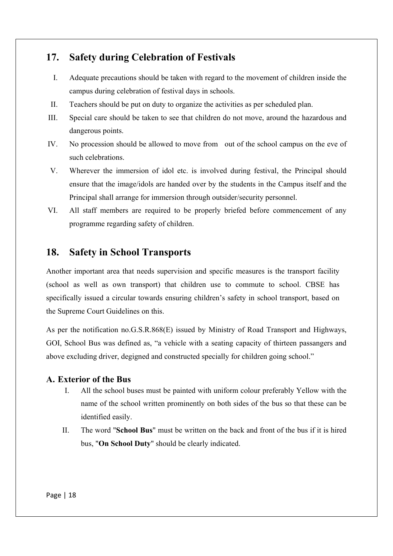## **17. Safety during Celebration of Festivals**

- I. Adequate precautions should be taken with regard to the movement of children inside the campus during celebration of festival days in schools.
- II. Teachers should be put on duty to organize the activities as per scheduled plan.
- III. Special care should be taken to see that children do not move, around the hazardous and dangerous points.
- IV. No procession should be allowed to move from out of the school campus on the eve of such celebrations.
- V. Wherever the immersion of idol etc. is involved during festival, the Principal should ensure that the image/idols are handed over by the students in the Campus itself and the Principal shall arrange for immersion through outsider/security personnel.
- VI. All staff members are required to be properly briefed before commencement of any programme regarding safety of children.

## **18. Safety in School Transports**

Another important area that needs supervision and specific measures is the transport facility (school as well as own transport) that children use to commute to school. CBSE has specifically issued a circular towards ensuring children's safety in school transport, based on the Supreme Court Guidelines on this.

As per the notification no.G.S.R.868(E) issued by Ministry of Road Transport and Highways, GOI, School Bus was defined as, "a vehicle with a seating capacity of thirteen passangers and above excluding driver, degigned and constructed specially for children going school."

#### **A. Exterior of the Bus**

- I. All the school buses must be painted with uniform colour preferably Yellow with the name of the school written prominently on both sides of the bus so that these can be identified easily.
- II. The word "**School Bus**" must be written on the back and front of the bus if it is hired bus, "**On School Duty**" should be clearly indicated.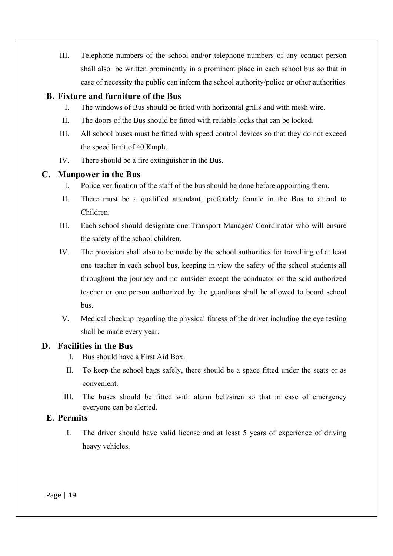III. Telephone numbers of the school and/or telephone numbers of any contact person shall also be written prominently in a prominent place in each school bus so that in case of necessity the public can inform the school authority/police or other authorities

#### **B. Fixture and furniture of the Bus**

- I. The windows of Bus should be fitted with horizontal grills and with mesh wire.
- II. The doors of the Bus should be fitted with reliable locks that can be locked.
- III. All school buses must be fitted with speed control devices so that they do not exceed the speed limit of 40 Kmph.
- IV. There should be a fire extinguisher in the Bus.

#### **C. Manpower in the Bus**

- I. Police verification of the staff of the bus should be done before appointing them.
- II. There must be a qualified attendant, preferably female in the Bus to attend to Children.
- III. Each school should designate one Transport Manager/ Coordinator who will ensure the safety of the school children.
- IV. The provision shall also to be made by the school authorities for travelling of at least one teacher in each school bus, keeping in view the safety of the school students all throughout the journey and no outsider except the conductor or the said authorized teacher or one person authorized by the guardians shall be allowed to board school bus.
- V. Medical checkup regarding the physical fitness of the driver including the eye testing shall be made every year.

#### **D. Facilities in the Bus**

- I. Bus should have a First Aid Box.
- II. To keep the school bags safely, there should be a space fitted under the seats or as convenient.
- III. The buses should be fitted with alarm bell/siren so that in case of emergency everyone can be alerted.

#### **E. Permits**

I. The driver should have valid license and at least 5 years of experience of driving heavy vehicles.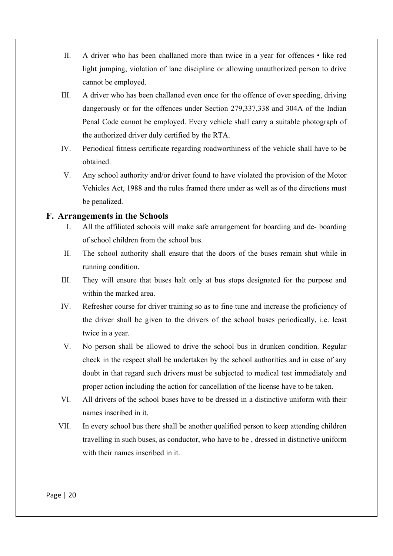- II. A driver who has been challaned more than twice in a year for offences like red light jumping, violation of lane discipline or allowing unauthorized person to drive cannot be employed.
- III. A driver who has been challaned even once for the offence of over speeding, driving dangerously or for the offences under Section 279,337,338 and 304A of the Indian Penal Code cannot be employed. Every vehicle shall carry a suitable photograph of the authorized driver duly certified by the RTA.
- IV. Periodical fitness certificate regarding roadworthiness of the vehicle shall have to be obtained.
- V. Any school authority and/or driver found to have violated the provision of the Motor Vehicles Act, 1988 and the rules framed there under as well as of the directions must be penalized.

#### **F. Arrangements in the Schools**

- I. All the affiliated schools will make safe arrangement for boarding and de- boarding of school children from the school bus.
- II. The school authority shall ensure that the doors of the buses remain shut while in running condition.
- III. They will ensure that buses halt only at bus stops designated for the purpose and within the marked area.
- IV. Refresher course for driver training so as to fine tune and increase the proficiency of the driver shall be given to the drivers of the school buses periodically, i.e. least twice in a year.
- V. No person shall be allowed to drive the school bus in drunken condition. Regular check in the respect shall be undertaken by the school authorities and in case of any doubt in that regard such drivers must be subjected to medical test immediately and proper action including the action for cancellation of the license have to be taken.
- VI. All drivers of the school buses have to be dressed in a distinctive uniform with their names inscribed in it.
- VII. In every school bus there shall be another qualified person to keep attending children travelling in such buses, as conductor, who have to be , dressed in distinctive uniform with their names inscribed in it.